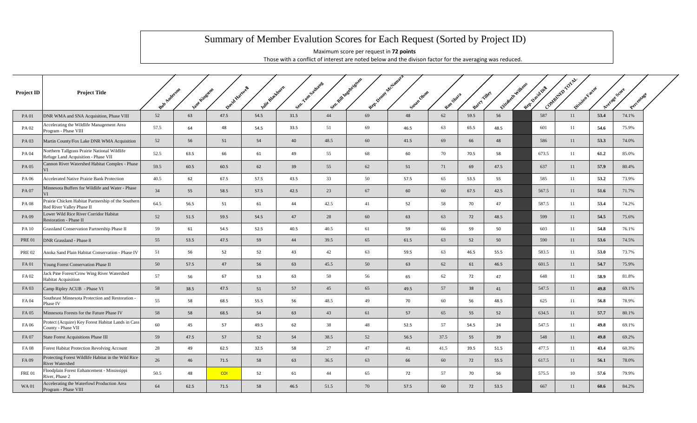## Summary of Member Evalution Scores for Each Request (Sorted by Project ID)

Maximum score per request in **72 points** Those with a conflict of interest are noted below and the divison factor for the averaging was reduced.

| <b>Project ID</b> | <b>Project Title</b>                                                                | Rob Anderson | Jane Lingston | David Hartwell | Inite Blackhurn | Sent Yon Sadware |      | Sen Will Inseringers<br>Rep. Penny Acciation | Sugar Okon | Ren Shara | Barry Tilley |      | Elizabeth Williams | Rep. David Dil | Contentin rotal<br>Division Factor |      | Average Score<br>Percentage |  |
|-------------------|-------------------------------------------------------------------------------------|--------------|---------------|----------------|-----------------|------------------|------|----------------------------------------------|------------|-----------|--------------|------|--------------------|----------------|------------------------------------|------|-----------------------------|--|
| <b>PA01</b>       | DNR WMA and SNA Acquisition, Phase VIII                                             | 52           | 63            | 47.5           | 54.5            | 31.5             | 44   | 69                                           | 48         | 62        | 59.5         | 56   |                    | 587            | 11                                 | 53.4 | 74.1%                       |  |
| PA 02             | Accelerating the Wildlife Management Area<br>Program - Phase VIII                   | 57.5         | 64            | 48             | 54.5            | 33.5             | 51   | 69                                           | 46.5       | 63        | 65.5         | 48.5 |                    | 601            | 11                                 | 54.6 | 75.9%                       |  |
| PA 03             | Martin County/Fox Lake DNR WMA Acquisition                                          | 52           | 56            | 51             | 54              | 40               | 48.5 | 60                                           | 41.5       | 69        | 66           | 48   |                    | 586            | 11                                 | 53.3 | 74.0%                       |  |
| PA 04             | Northern Tallgrass Prairie National Wildlife<br>Refuge Land Acquisition - Phase VII | 52.5         | 63.5          | 66             | 61              | 49               | 55   | 68                                           | 60         | 70        | 70.5         | 58   |                    | 673.5          | 11                                 | 61.2 | 85.0%                       |  |
| PA 05             | Cannon River Watershed Habitat Complex - Phase<br>VI                                | 59.5         | 60.5          | 60.5           | 62              | 39               | 55   | 62                                           | 51         | 71        | 69           | 47.5 |                    | 637            | 11                                 | 57.9 | 80.4%                       |  |
| PA 06             | Accelerated Native Prairie Bank Protection                                          | 40.5         | 62            | 67.5           | 57.5            | 43.5             | 33   | 50                                           | 57.5       | 65        | 53.5         | 55   |                    | 585            | 11                                 | 53.2 | 73.9%                       |  |
| PA 07             | Minnesota Buffers for Wildlife and Water - Phase<br>VI                              | 34           | 55            | 58.5           | 57.5            | 42.5             | 23   | 67                                           | 60         | 60        | 67.5         | 42.5 |                    | 567.5          | 11                                 | 51.6 | 71.7%                       |  |
| PA 08             | Prairie Chicken Habitat Partnership of the Southern<br>Red River Valley Phase II    | 64.5         | 56.5          | 51             | 61              | 44               | 42.5 | 41                                           | 52         | 58        | 70           | 47   |                    | 587.5          | 11                                 | 53.4 | 74.2%                       |  |
| PA 09             | Lower Wild Rice River Corridor Habitat<br>Restoration - Phase II                    | 52           | 51.5          | 59.5           | 54.5            | 47               | 28   | 60                                           | 63         | 63        | 72           | 48.5 |                    | 599            | 11                                 | 54.5 | 75.6%                       |  |
| <b>PA 10</b>      | Grassland Conservation Partnership Phase II                                         | 59           | 61            | 54.5           | 52.5            | 40.5             | 40.5 | 61                                           | 59         | 66        | 59           | 50   |                    | 603            | 11                                 | 54.8 | 76.1%                       |  |
| <b>PRE 01</b>     | DNR Grassland - Phase 8                                                             | 55           | 53.5          | 47.5           | 59              | 44               | 39.5 | 65                                           | 61.5       | 63        | 52           | 50   |                    | 590            | 11                                 | 53.6 | 74.5%                       |  |
| <b>PRE 02</b>     | Anoka Sand Plain Habitat Conservation - Phase IV                                    | 51           | 56            | 52             | 52              | 43               | 42   | 63                                           | 59.5       | 63        | 46.5         | 55.5 |                    | 583.5          | 11                                 | 53.0 | 73.7%                       |  |
| FA 01             | Young Forest Conservation Phase II                                                  | 50           | 57.5          | 47             | 56              | 63               | 45.5 | 50                                           | 63         | 62        | 61           | 46.5 |                    | 601.5          | 11                                 | 54.7 | 75.9%                       |  |
| FA 02             | Jack Pine Forest/Crow Wing River Watershed<br><b>Habitat Acquisition</b>            | 57           | 56            | 67             | 53              | 63               | 50   | 56                                           | 65         | 62        | 72           | 47   |                    | 648            | 11                                 | 58.9 | 81.8%                       |  |
| FA 03             | Camp Ripley ACUB - Phase VI                                                         | 58           | 38.5          | 47.5           | 51              | 57               | 45   | 65                                           | 49.5       | 57        | 38           | 41   |                    | 547.5          | 11                                 | 49.8 | 69.1%                       |  |
| FA 04             | Southeast Minnesota Protection and Restoration -<br>Phase IV                        | 55           | 58            | 68.5           | 55.5            | 56               | 48.5 | 49                                           | 70         | 60        | 56           | 48.5 |                    | 625            | 11                                 | 56.8 | 78.9%                       |  |
| FA 05             | Minnesota Forests for the Future Phase IV                                           | 58           | 58            | 68.5           | 54              | 63               | 43   | 61                                           | 57         | 65        | 55           | 52   |                    | 634.5          | 11                                 | 57.7 | 80.1%                       |  |
| FA 06             | Protect (Acquire) Key Forest Habitat Lands in Cass<br>County - Phase VII            | 60           | 45            | 57             | 49.5            | 62               | 38   | 48                                           | 52.5       | 57        | 54.5         | 24   |                    | 547.5          | 11                                 | 49.8 | 69.1%                       |  |
| FA 07             | State Forest Acquisitions Phase III                                                 | 59           | 47.5          | 57             | 52              | 54               | 38.5 | 52                                           | 56.5       | 37.5      | 55           | 39   |                    | 548            | 11                                 | 49.8 | 69.2%                       |  |
| FA 08             | Forest Habitat Protection Revolving Account                                         | 28           | 49            | 62.5           | 32.5            | 58               | 27   | 47                                           | 41         | 41.5      | 39.5         | 51.5 |                    | 477.5          | 11                                 | 43.4 | 60.3%                       |  |
| FA 09             | Protecting Forest Wildlife Habitat in the Wild Rice<br><b>River Watershed</b>       | 26           | 46            | 71.5           | 58              | 63               | 36.5 | 63                                           | 66         | 60        | 72           | 55.5 |                    | 617.5          | 11                                 | 56.1 | 78.0%                       |  |
| <b>FRE 01</b>     | Floodplain Forest Enhancement - Mississippi<br>River, Phase 2                       | 50.5         | 48            | <b>COI</b>     | 52              | 61               | 44   | 65                                           | 72         | 57        | 70           | 56   |                    | 575.5          | 10                                 | 57.6 | 79.9%                       |  |
| <b>WA01</b>       | Accelerating the Waterfowl Production Area<br>Program - Phase VIII                  | 64           | 62.5          | 71.5           | 58              | 46.5             | 51.5 | 70                                           | 57.5       | 60        | 72           | 53.5 |                    | 667            | 11                                 | 60.6 | 84.2%                       |  |